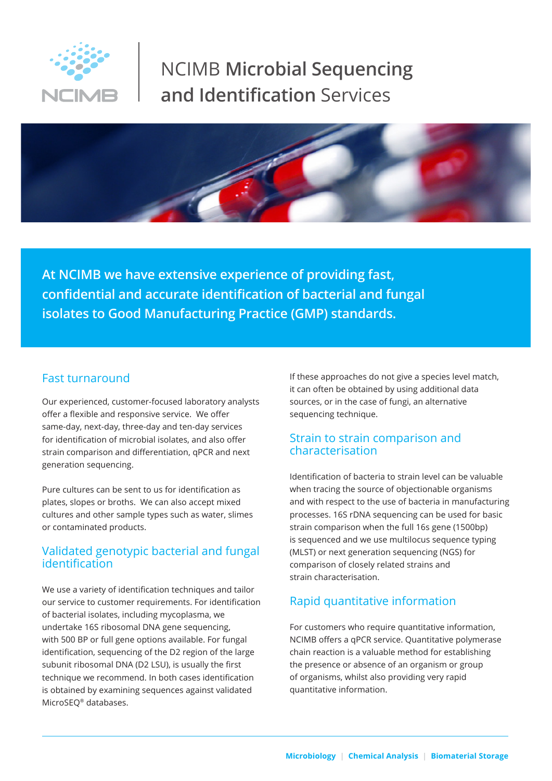

# NCIMB **Microbial Sequencing and Identification** Services



**At NCIMB we have extensive experience of providing fast, confidential and accurate identification of bacterial and fungal isolates to Good Manufacturing Practice (GMP) standards.** 

#### Fast turnaround

Our experienced, customer-focused laboratory analysts offer a flexible and responsive service. We offer same-day, next-day, three-day and ten-day services for identification of microbial isolates, and also offer strain comparison and differentiation, qPCR and next generation sequencing.

Pure cultures can be sent to us for identification as plates, slopes or broths. We can also accept mixed cultures and other sample types such as water, slimes or contaminated products.

### Validated genotypic bacterial and fungal identification

We use a variety of identification techniques and tailor our service to customer requirements. For identification of bacterial isolates, including mycoplasma, we undertake 16S ribosomal DNA gene sequencing, with 500 BP or full gene options available. For fungal identification, sequencing of the D2 region of the large subunit ribosomal DNA (D2 LSU), is usually the first technique we recommend. In both cases identification is obtained by examining sequences against validated MicroSEQ® databases.

If these approaches do not give a species level match, it can often be obtained by using additional data sources, or in the case of fungi, an alternative sequencing technique.

#### Strain to strain comparison and characterisation

Identification of bacteria to strain level can be valuable when tracing the source of objectionable organisms and with respect to the use of bacteria in manufacturing processes. 16S rDNA sequencing can be used for basic strain comparison when the full 16s gene (1500bp) is sequenced and we use multilocus sequence typing (MLST) or next generation sequencing (NGS) for comparison of closely related strains and strain characterisation.

### Rapid quantitative information

For customers who require quantitative information, NCIMB offers a qPCR service. Quantitative polymerase chain reaction is a valuable method for establishing the presence or absence of an organism or group of organisms, whilst also providing very rapid quantitative information.